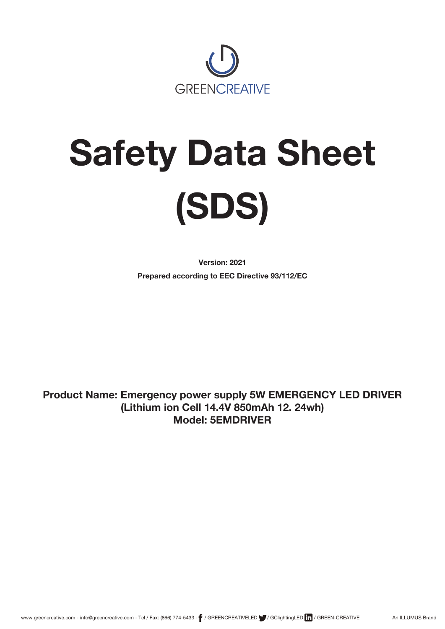

# **Safety Data Sheet (SDS)**

**Version: 2021 Prepared according to EEC Directive 93/112/EC**

**Product Name: Emergency power supply 5W EMERGENCY LED DRIVER (Lithium ion Cell 14.4V 850mAh 12. 24wh) Model: 5EMDRIVER**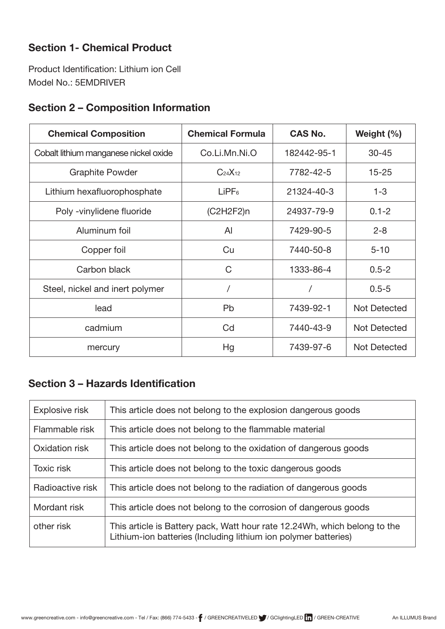# **Section 1- Chemical Product**

Product Identification: Lithium ion Cell Model No.: 5EMDRIVER

# **Section 2 – Composition Information**

| <b>Chemical Composition</b>           | <b>Chemical Formula</b> | <b>CAS No.</b> | Weight $(\% )$      |
|---------------------------------------|-------------------------|----------------|---------------------|
| Cobalt lithium manganese nickel oxide | Co.Li.Mn.Ni.O           | 182442-95-1    | $30 - 45$           |
| <b>Graphite Powder</b>                | $C_{24}X_{12}$          | 7782-42-5      | $15 - 25$           |
| Lithium hexafluorophosphate           | LIPF <sub>6</sub>       | 21324-40-3     | $1 - 3$             |
| Poly - vinylidene fluoride            | (C2H2F2)n               | 24937-79-9     | $0.1 - 2$           |
| Aluminum foil                         | $\mathsf{A}$            | 7429-90-5      | $2 - 8$             |
| Copper foil                           | Cu                      | 7440-50-8      | $5 - 10$            |
| Carbon black                          | C                       | 1333-86-4      | $0.5 - 2$           |
| Steel, nickel and inert polymer       |                         |                | $0.5 - 5$           |
| lead                                  | <b>Pb</b>               | 7439-92-1      | <b>Not Detected</b> |
| cadmium                               | Cd                      | 7440-43-9      | <b>Not Detected</b> |
| mercury                               | Hg                      | 7439-97-6      | <b>Not Detected</b> |

## **Section 3 – Hazards Identification**

| Explosive risk    | This article does not belong to the explosion dangerous goods                                                                                |
|-------------------|----------------------------------------------------------------------------------------------------------------------------------------------|
| Flammable risk    | This article does not belong to the flammable material                                                                                       |
| Oxidation risk    | This article does not belong to the oxidation of dangerous goods                                                                             |
| <b>Toxic risk</b> | This article does not belong to the toxic dangerous goods                                                                                    |
| Radioactive risk  | This article does not belong to the radiation of dangerous goods                                                                             |
| Mordant risk      | This article does not belong to the corrosion of dangerous goods                                                                             |
| other risk        | This article is Battery pack, Watt hour rate 12.24Wh, which belong to the<br>Lithium-ion batteries (Including lithium ion polymer batteries) |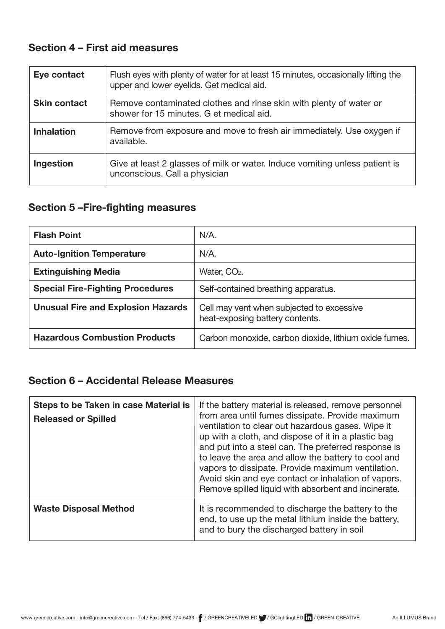## **Section 4 – First aid measures**

| Eye contact         | Flush eyes with plenty of water for at least 15 minutes, occasionally lifting the<br>upper and lower eyelids. Get medical aid. |
|---------------------|--------------------------------------------------------------------------------------------------------------------------------|
| <b>Skin contact</b> | Remove contaminated clothes and rinse skin with plenty of water or<br>shower for 15 minutes. G et medical aid.                 |
| <b>Inhalation</b>   | Remove from exposure and move to fresh air immediately. Use oxygen if<br>available.                                            |
| Ingestion           | Give at least 2 glasses of milk or water. Induce vomiting unless patient is<br>unconscious. Call a physician                   |

# **Section 5 –Fire-fighting measures**

| <b>Flash Point</b>                        | $N/A$ .                                                                      |
|-------------------------------------------|------------------------------------------------------------------------------|
| <b>Auto-Ignition Temperature</b>          | $N/A$ .                                                                      |
| <b>Extinguishing Media</b>                | Water, CO <sub>2</sub> .                                                     |
| <b>Special Fire-Fighting Procedures</b>   | Self-contained breathing apparatus.                                          |
| <b>Unusual Fire and Explosion Hazards</b> | Cell may vent when subjected to excessive<br>heat-exposing battery contents. |
| <b>Hazardous Combustion Products</b>      | Carbon monoxide, carbon dioxide, lithium oxide fumes.                        |

## **Section 6 – Accidental Release Measures**

| Steps to be Taken in case Material is<br><b>Released or Spilled</b> | If the battery material is released, remove personnel<br>from area until fumes dissipate. Provide maximum<br>ventilation to clear out hazardous gases. Wipe it<br>up with a cloth, and dispose of it in a plastic bag<br>and put into a steel can. The preferred response is<br>to leave the area and allow the battery to cool and<br>vapors to dissipate. Provide maximum ventilation.<br>Avoid skin and eye contact or inhalation of vapors.<br>Remove spilled liquid with absorbent and incinerate. |
|---------------------------------------------------------------------|---------------------------------------------------------------------------------------------------------------------------------------------------------------------------------------------------------------------------------------------------------------------------------------------------------------------------------------------------------------------------------------------------------------------------------------------------------------------------------------------------------|
| <b>Waste Disposal Method</b>                                        | It is recommended to discharge the battery to the<br>end, to use up the metal lithium inside the battery,<br>and to bury the discharged battery in soil                                                                                                                                                                                                                                                                                                                                                 |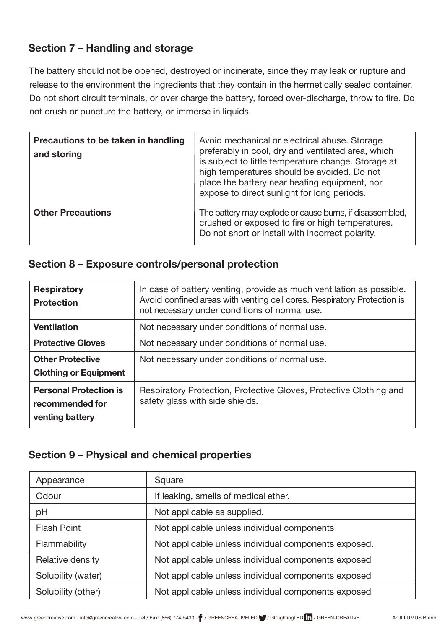## **Section 7 – Handling and storage**

The battery should not be opened, destroyed or incinerate, since they may leak or rupture and release to the environment the ingredients that they contain in the hermetically sealed container. Do not short circuit terminals, or over charge the battery, forced over-discharge, throw to fire. Do not crush or puncture the battery, or immerse in liquids.

| Precautions to be taken in handling<br>and storing | Avoid mechanical or electrical abuse. Storage<br>preferably in cool, dry and ventilated area, which<br>is subject to little temperature change. Storage at<br>high temperatures should be avoided. Do not<br>place the battery near heating equipment, nor<br>expose to direct sunlight for long periods. |
|----------------------------------------------------|-----------------------------------------------------------------------------------------------------------------------------------------------------------------------------------------------------------------------------------------------------------------------------------------------------------|
| <b>Other Precautions</b>                           | The battery may explode or cause burns, if disassembled,<br>crushed or exposed to fire or high temperatures.<br>Do not short or install with incorrect polarity.                                                                                                                                          |

#### **Section 8 – Exposure controls/personal protection**

| <b>Respiratory</b><br><b>Protection</b>                             | In case of battery venting, provide as much ventilation as possible.<br>Avoid confined areas with venting cell cores. Respiratory Protection is<br>not necessary under conditions of normal use. |
|---------------------------------------------------------------------|--------------------------------------------------------------------------------------------------------------------------------------------------------------------------------------------------|
| <b>Ventilation</b>                                                  | Not necessary under conditions of normal use.                                                                                                                                                    |
| <b>Protective Gloves</b>                                            | Not necessary under conditions of normal use.                                                                                                                                                    |
| <b>Other Protective</b><br><b>Clothing or Equipment</b>             | Not necessary under conditions of normal use.                                                                                                                                                    |
| <b>Personal Protection is</b><br>recommended for<br>venting battery | Respiratory Protection, Protective Gloves, Protective Clothing and<br>safety glass with side shields.                                                                                            |

## **Section 9 – Physical and chemical properties**

| Appearance         | Square                                               |
|--------------------|------------------------------------------------------|
| Odour              | If leaking, smells of medical ether.                 |
| pH                 | Not applicable as supplied.                          |
| <b>Flash Point</b> | Not applicable unless individual components          |
| Flammability       | Not applicable unless individual components exposed. |
| Relative density   | Not applicable unless individual components exposed  |
| Solubility (water) | Not applicable unless individual components exposed  |
| Solubility (other) | Not applicable unless individual components exposed  |
|                    |                                                      |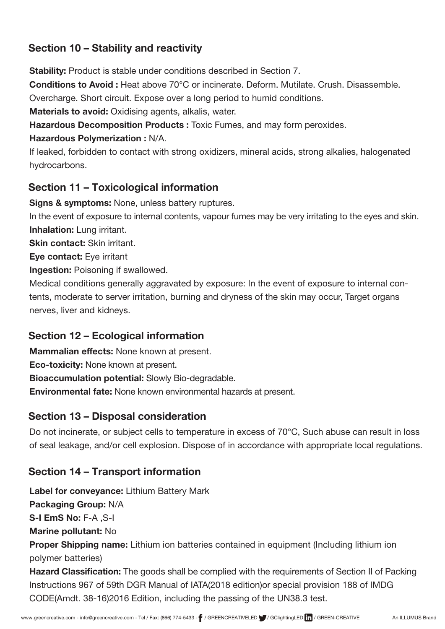## **Section 10 – Stability and reactivity**

Stability: Product is stable under conditions described in Section 7.

Conditions to Avoid : Heat above 70°C or incinerate. Deform. Mutilate. Crush. Disassemble.

Overcharge. Short circuit. Expose over a long period to humid conditions.

**Materials to avoid:** Oxidising agents, alkalis, water.

Hazardous Decomposition Products : Toxic Fumes, and may form peroxides.

#### Hazardous Polymerization : N/A.

If leaked, forbidden to contact with strong oxidizers, mineral acids, strong alkalies, halogenated hydrocarbons.

## **Section 11 – Toxicological information**

Signs & symptoms: None, unless battery ruptures.

In the event of exposure to internal contents, vapour fumes may be very irritating to the eyes and skin. Inhalation: Lung irritant.

Skin contact: Skin irritant.

Eye contact: Eye irritant

Ingestion: Poisoning if swallowed.

Medical conditions generally aggravated by exposure: In the event of exposure to internal contents, moderate to server irritation, burning and dryness of the skin may occur, Target organs nerves, liver and kidneys.

## **Section 12 – Ecological information**

**Mammalian effects: None known at present.** 

Eco-toxicity: None known at present.

Bioaccumulation potential: Slowly Bio-degradable.

Environmental fate: None known environmental hazards at present.

### **Section 13 – Disposal consideration**

Do not incinerate, or subject cells to temperature in excess of 70°C, Such abuse can result in loss of seal leakage, and/or cell explosion. Dispose of in accordance with appropriate local regulations.

## **Section 14 – Transport information**

Label for conveyance: Lithium Battery Mark

Packaging Group: N/A

S-I EmS No: F-A ,S-I

Marine pollutant: No

Proper Shipping name: Lithium ion batteries contained in equipment (Including lithium ion polymer batteries)

Hazard Classification: The goods shall be complied with the requirements of Section II of Packing Instructions 967 of 59th DGR Manual of IATA(2018 edition)or special provision 188 of IMDG CODE(Amdt. 38-16)2016 Edition, including the passing of the UN38.3 test.